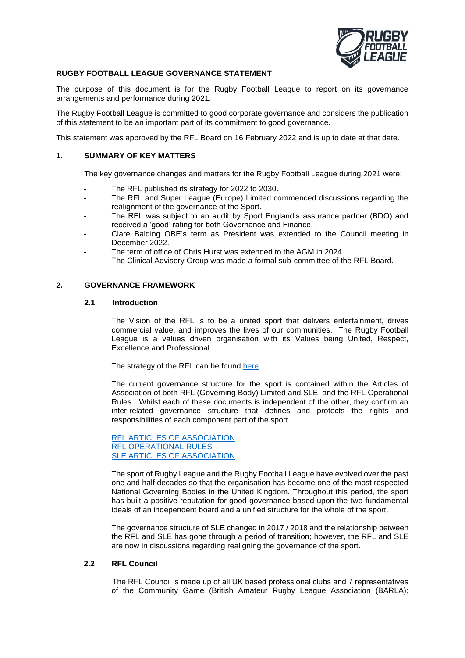

### **RUGBY FOOTBALL LEAGUE GOVERNANCE STATEMENT**

The purpose of this document is for the Rugby Football League to report on its governance arrangements and performance during 2021.

The Rugby Football League is committed to good corporate governance and considers the publication of this statement to be an important part of its commitment to good governance.

This statement was approved by the RFL Board on 16 February 2022 and is up to date at that date.

### **1. SUMMARY OF KEY MATTERS**

The key governance changes and matters for the Rugby Football League during 2021 were:

- The RFL published its strategy for 2022 to 2030.
- The RFL and Super League (Europe) Limited commenced discussions regarding the realignment of the governance of the Sport.
- The RFL was subject to an audit by Sport England's assurance partner (BDO) and received a 'good' rating for both Governance and Finance.
- Clare Balding OBE's term as President was extended to the Council meeting in December 2022.
- The term of office of Chris Hurst was extended to the AGM in 2024.
- The Clinical Advisory Group was made a formal sub-committee of the RFL Board.

### **2. GOVERNANCE FRAMEWORK**

### **2.1 Introduction**

The Vision of the RFL is to be a united sport that delivers entertainment, drives commercial value, and improves the lives of our communities. The Rugby Football League is a values driven organisation with its Values being United, Respect, Excellence and Professional.

The strategy of the RFL can be found [here](http://staging.rugby-league.com/uploads/docs/RFL%20Strategic%20Report%202021%20Final.pdf)

The current governance structure for the sport is contained within the Articles of Association of both RFL (Governing Body) Limited and SLE, and the RFL Operational Rules. Whilst each of these documents is independent of the other, they confirm an inter-related governance structure that defines and protects the rights and responsibilities of each component part of the sport.

[RFL ARTICLES OF ASSOCIATION](https://www.rugby-league.com/uploads/docs/201202_RevisedArticlesofAssociation_final.pdf) [RFL OPERATIONAL RULES](https://www.rugby-league.com/flipbooks/2022-operational-rules-tiers-1-3/index.html) [SLE ARTICLES OF ASSOCIATION](https://s3.eu-west-2.amazonaws.com/document-api-images-live.ch.gov.uk/docs/JF1O6j0KVqhvV9xGT7q-9NlJwhcwkN3_ff0v8dsdrr4/application-pdf?X-Amz-Algorithm=AWS4-HMAC-SHA256&X-Amz-Credential=ASIAWRGBDBV3GHPRXYUX%2F20220216%2Feu-west-2%2Fs3%2Faws4_request&X-Amz-Date=20220216T104137Z&X-Amz-Expires=60&X-Amz-Security-Token=IQoJb3JpZ2luX2VjEHAaCWV1LXdlc3QtMiJHMEUCIQDYi4mV1c7kQYDefRI8HmOUBw7t5plreNRUe%2BOvfOOFFwIgTYPx4Iaxj1Mhy0ctRVofwn0BmyYezUZ75E7hhbFkggoqgwQIuf%2F%2F%2F%2F%2F%2F%2F%2F%2F%2FARAEGgw0NDkyMjkwMzI4MjIiDAGBQGtGS8NWUW7J%2BCrXA5laClHa%2FobaXp2bnTkOnhLluy5LRQ0%2FWkX8nsKQkQX0T8z69LZreDUj3DbW8caYR9ygSBYtCT%2BlV%2F6vONNw0DT0OsOLrWIifMXgjFSFg3XWbzc%2FNwoJdgI%2BYurbTcBl%2Fa%2BwauwOjbA4Co%2F7vgdgBw2yfRd0l3sMkm6drajZeBlQhTxQIW4vkYDIVh8jHYzPuCrCAQTcLtWKVxo2Bo6daksh0feHleNub6glOvVcLttTuGRUMIGRyVP2gO73h1uQvblP3iULPMddsAoYj2vS8sJ%2BZHntvhf0VZyVJypQmX3cZ%2BJaMg5v4iyojzgvjtN4Wd9PuIptZ3rtswQglvjYAdpNQkJtBJljQXXO2dzLTCIfapEaQgRqTyCPcy0FhoGwjTO4S16bJuYTI%2BbZmKotG7stBrdAjjPsEKRQPSrwXjDlckf71WxR4dwsKqwL0ChQjUXbIcWxYYCriOo62RFudiELwGWL2Rnhc%2Bnuv%2BBMJ%2BF4Y0R5LpwsgBIMuou2P6cAeeu%2FUWcaBgstgIPhokVwudYJLEr0dSEVL6ed230Ie95bZdwxfeO8mO%2BhZINUlggbDOpEWQ5g%2FurmKTc7puqO4xhilRsQ8fe%2B5mVhcFo8jYXO7bxJen5ZOjDKzrKQBjqlAWLoRx%2BJoxi%2BRa7dRJ9PTwKRxULtQSKR8b0rU3K4vog9GR1IlgnBJJrVXE3TCa0FhmsKAuR%2Fg39yq68C1xDyUCCt01U%2FfUKlCbag8wRlsW4oLU8RQJlGMeaBZK3OSCJ5jo6%2Fg%2BLSn7eLwlCPL3r8AFVUXal22wXEJ0BS6gbZOEQ5zLoZzy7Q2tjMaiLHT5t3%2BrwK0At%2FP44wUNt6kv2PP6UmNbmD3A%3D%3D&X-Amz-SignedHeaders=host&response-content-disposition=inline%3Bfilename%3D%22companies_house_document.pdf%22&X-Amz-Signature=6255dc69a996fbe7c55fc6d7a9b7c6898aa68be791cf2f40c7ea3831212786bc)

The sport of Rugby League and the Rugby Football League have evolved over the past one and half decades so that the organisation has become one of the most respected National Governing Bodies in the United Kingdom. Throughout this period, the sport has built a positive reputation for good governance based upon the two fundamental ideals of an independent board and a unified structure for the whole of the sport.

The governance structure of SLE changed in 2017 / 2018 and the relationship between the RFL and SLE has gone through a period of transition; however, the RFL and SLE are now in discussions regarding realigning the governance of the sport.

### **2.2 RFL Council**

The RFL Council is made up of all UK based professional clubs and 7 representatives of the Community Game (British Amateur Rugby League Association (BARLA);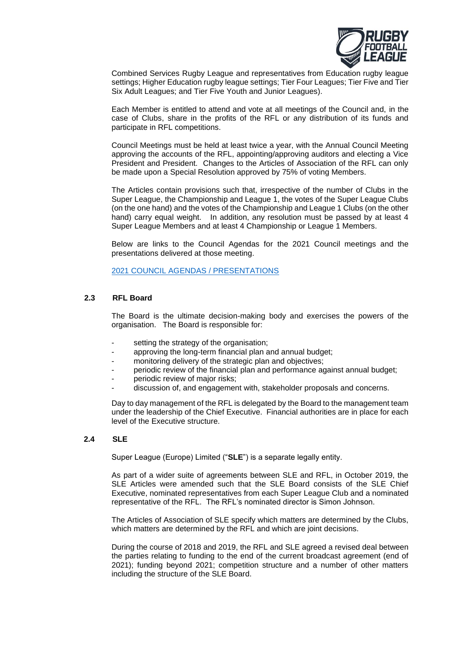

Combined Services Rugby League and representatives from Education rugby league settings; Higher Education rugby league settings; Tier Four Leagues; Tier Five and Tier Six Adult Leagues; and Tier Five Youth and Junior Leagues).

Each Member is entitled to attend and vote at all meetings of the Council and, in the case of Clubs, share in the profits of the RFL or any distribution of its funds and participate in RFL competitions.

Council Meetings must be held at least twice a year, with the Annual Council Meeting approving the accounts of the RFL, appointing/approving auditors and electing a Vice President and President. Changes to the Articles of Association of the RFL can only be made upon a Special Resolution approved by 75% of voting Members.

The Articles contain provisions such that, irrespective of the number of Clubs in the Super League, the Championship and League 1, the votes of the Super League Clubs (on the one hand) and the votes of the Championship and League 1 Clubs (on the other hand) carry equal weight. In addition, any resolution must be passed by at least 4 Super League Members and at least 4 Championship or League 1 Members.

Below are links to the Council Agendas for the 2021 Council meetings and the presentations delivered at those meeting.

[2021 COUNCIL AGENDAS / PRESENTATIONS](https://www.rugby-league.com/governance/about-the-rfl/the-rfl-council)

### **2.3 RFL Board**

The Board is the ultimate decision-making body and exercises the powers of the organisation. The Board is responsible for:

- setting the strategy of the organisation;
- approving the long-term financial plan and annual budget;
- monitoring delivery of the strategic plan and objectives;
- periodic review of the financial plan and performance against annual budget;
- periodic review of major risks;
- discussion of, and engagement with, stakeholder proposals and concerns.

Day to day management of the RFL is delegated by the Board to the management team under the leadership of the Chief Executive. Financial authorities are in place for each level of the Executive structure.

### **2.4 SLE**

Super League (Europe) Limited ("**SLE**") is a separate legally entity.

As part of a wider suite of agreements between SLE and RFL, in October 2019, the SLE Articles were amended such that the SLE Board consists of the SLE Chief Executive, nominated representatives from each Super League Club and a nominated representative of the RFL. The RFL's nominated director is Simon Johnson.

The Articles of Association of SLE specify which matters are determined by the Clubs, which matters are determined by the RFL and which are joint decisions.

During the course of 2018 and 2019, the RFL and SLE agreed a revised deal between the parties relating to funding to the end of the current broadcast agreement (end of 2021); funding beyond 2021; competition structure and a number of other matters including the structure of the SLE Board.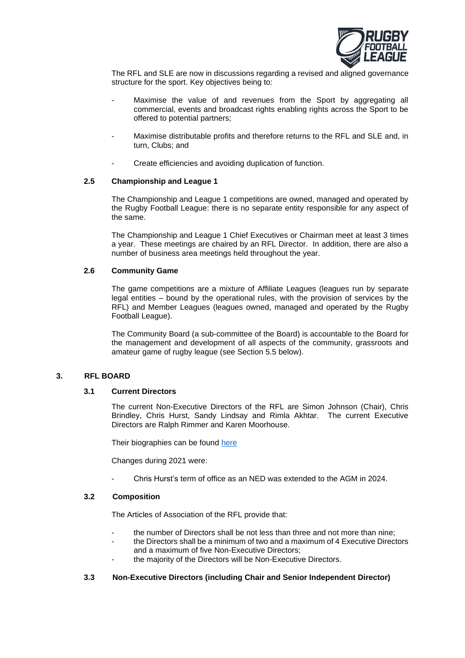

The RFL and SLE are now in discussions regarding a revised and aligned governance structure for the sport. Key objectives being to:

- Maximise the value of and revenues from the Sport by aggregating all commercial, events and broadcast rights enabling rights across the Sport to be offered to potential partners;
- Maximise distributable profits and therefore returns to the RFL and SLE and, in turn, Clubs; and
- Create efficiencies and avoiding duplication of function.

### **2.5 Championship and League 1**

The Championship and League 1 competitions are owned, managed and operated by the Rugby Football League: there is no separate entity responsible for any aspect of the same.

The Championship and League 1 Chief Executives or Chairman meet at least 3 times a year. These meetings are chaired by an RFL Director. In addition, there are also a number of business area meetings held throughout the year.

### **2.6 Community Game**

The game competitions are a mixture of Affiliate Leagues (leagues run by separate legal entities – bound by the operational rules, with the provision of services by the RFL) and Member Leagues (leagues owned, managed and operated by the Rugby Football League).

The Community Board (a sub-committee of the Board) is accountable to the Board for the management and development of all aspects of the community, grassroots and amateur game of rugby league (see Section 5.5 below).

### **3. RFL BOARD**

### **3.1 Current Directors**

The current Non-Executive Directors of the RFL are Simon Johnson (Chair), Chris Brindley, Chris Hurst, Sandy Lindsay and Rimla Akhtar. The current Executive Directors are Ralph Rimmer and Karen Moorhouse.

Their biographies can be found [here](https://www.rugby-league.com/governance/about-the-rfl/board)

Changes during 2021 were:

- Chris Hurst's term of office as an NED was extended to the AGM in 2024.

### **3.2 Composition**

The Articles of Association of the RFL provide that:

- the number of Directors shall be not less than three and not more than nine;
- the Directors shall be a minimum of two and a maximum of 4 Executive Directors and a maximum of five Non-Executive Directors;
- the majority of the Directors will be Non-Executive Directors.

### **3.3 Non-Executive Directors (including Chair and Senior Independent Director)**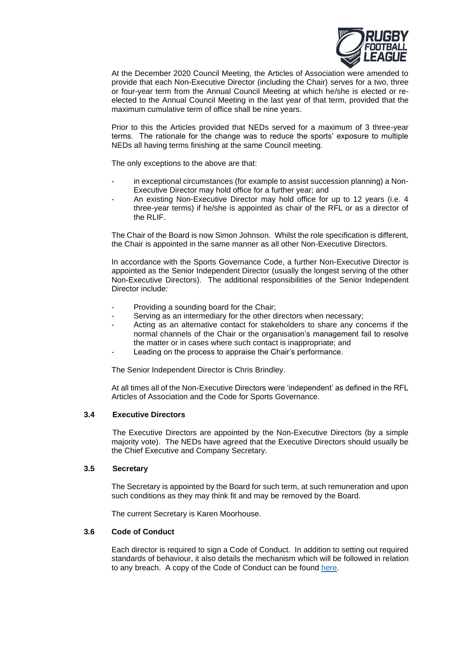

At the December 2020 Council Meeting, the Articles of Association were amended to provide that each Non-Executive Director (including the Chair) serves for a two, three or four-year term from the Annual Council Meeting at which he/she is elected or reelected to the Annual Council Meeting in the last year of that term, provided that the maximum cumulative term of office shall be nine years.

Prior to this the Articles provided that NEDs served for a maximum of 3 three-year terms. The rationale for the change was to reduce the sports' exposure to multiple NEDs all having terms finishing at the same Council meeting.

The only exceptions to the above are that:

- in exceptional circumstances (for example to assist succession planning) a Non-Executive Director may hold office for a further year; and
- An existing Non-Executive Director may hold office for up to 12 years (i.e. 4 three-year terms) if he/she is appointed as chair of the RFL or as a director of the RLIF.

The Chair of the Board is now Simon Johnson. Whilst the role specification is different, the Chair is appointed in the same manner as all other Non-Executive Directors.

In accordance with the Sports Governance Code, a further Non-Executive Director is appointed as the Senior Independent Director (usually the longest serving of the other Non-Executive Directors). The additional responsibilities of the Senior Independent Director include:

- Providing a sounding board for the Chair;
- Serving as an intermediary for the other directors when necessary;
- Acting as an alternative contact for stakeholders to share any concerns if the normal channels of the Chair or the organisation's management fail to resolve the matter or in cases where such contact is inappropriate; and
- Leading on the process to appraise the Chair's performance.

The Senior Independent Director is Chris Brindley.

At all times all of the Non-Executive Directors were 'independent' as defined in the RFL Articles of Association and the Code for Sports Governance.

### **3.4 Executive Directors**

The Executive Directors are appointed by the Non-Executive Directors (by a simple majority vote). The NEDs have agreed that the Executive Directors should usually be the Chief Executive and Company Secretary.

### **3.5 Secretary**

The Secretary is appointed by the Board for such term, at such remuneration and upon such conditions as they may think fit and may be removed by the Board.

The current Secretary is Karen Moorhouse.

### **3.6 Code of Conduct**

Each director is required to sign a Code of Conduct. In addition to setting out required standards of behaviour, it also details the mechanism which will be followed in relation to any breach. A copy of the Code of Conduct can be found [here.](https://secure.rugby-league.com/ign_docs/190719_DirectorsCodeofConduct_KM_FINAL.pdf)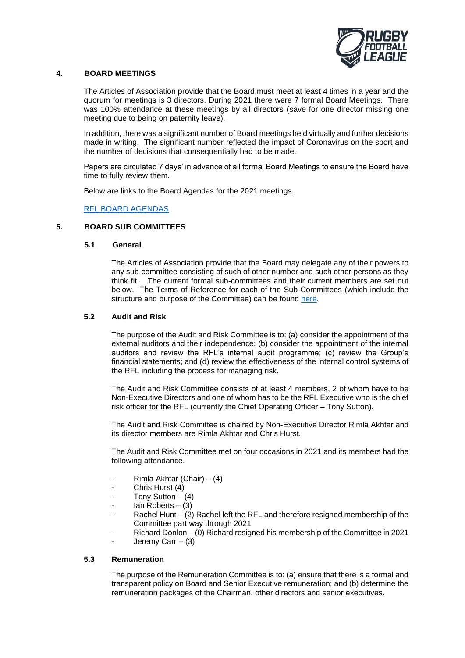

### **4. BOARD MEETINGS**

The Articles of Association provide that the Board must meet at least 4 times in a year and the quorum for meetings is 3 directors. During 2021 there were 7 formal Board Meetings. There was 100% attendance at these meetings by all directors (save for one director missing one meeting due to being on paternity leave).

In addition, there was a significant number of Board meetings held virtually and further decisions made in writing. The significant number reflected the impact of Coronavirus on the sport and the number of decisions that consequentially had to be made.

Papers are circulated 7 days' in advance of all formal Board Meetings to ensure the Board have time to fully review them.

Below are links to the Board Agendas for the 2021 meetings.

### [RFL BOARD AGENDAS](https://www.rugby-league.com/governance/about-the-rfl/board)

### **5. BOARD SUB COMMITTEES**

### **5.1 General**

The Articles of Association provide that the Board may delegate any of their powers to any sub-committee consisting of such of other number and such other persons as they think fit. The current formal sub-committees and their current members are set out below. The Terms of Reference for each of the Sub-Committees (which include the structure and purpose of the Committee) can be found [here.](https://www.rugby-league.com/governance/about-the-rfl/board)

### **5.2 Audit and Risk**

The purpose of the Audit and Risk Committee is to: (a) consider the appointment of the external auditors and their independence; (b) consider the appointment of the internal auditors and review the RFL's internal audit programme; (c) review the Group's financial statements; and (d) review the effectiveness of the internal control systems of the RFL including the process for managing risk.

The Audit and Risk Committee consists of at least 4 members, 2 of whom have to be Non-Executive Directors and one of whom has to be the RFL Executive who is the chief risk officer for the RFL (currently the Chief Operating Officer – Tony Sutton).

The Audit and Risk Committee is chaired by Non-Executive Director Rimla Akhtar and its director members are Rimla Akhtar and Chris Hurst.

The Audit and Risk Committee met on four occasions in 2021 and its members had the following attendance.

- Rimla Akhtar (Chair) (4)
- Chris Hurst (4)
- Tony Sutton  $-$  (4)
- $lan$  Roberts (3)
- Rachel Hunt  $-$  (2) Rachel left the RFL and therefore resigned membership of the Committee part way through 2021
- Richard Donlon (0) Richard resigned his membership of the Committee in 2021
- Jeremy Carr  $-$  (3)

### **5.3 Remuneration**

The purpose of the Remuneration Committee is to: (a) ensure that there is a formal and transparent policy on Board and Senior Executive remuneration; and (b) determine the remuneration packages of the Chairman, other directors and senior executives.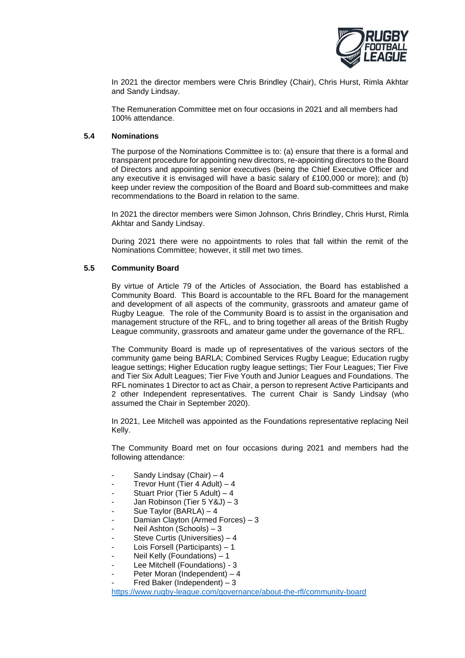

In 2021 the director members were Chris Brindley (Chair), Chris Hurst, Rimla Akhtar and Sandy Lindsay.

The Remuneration Committee met on four occasions in 2021 and all members had 100% attendance.

### **5.4 Nominations**

The purpose of the Nominations Committee is to: (a) ensure that there is a formal and transparent procedure for appointing new directors, re-appointing directors to the Board of Directors and appointing senior executives (being the Chief Executive Officer and any executive it is envisaged will have a basic salary of £100,000 or more); and (b) keep under review the composition of the Board and Board sub-committees and make recommendations to the Board in relation to the same.

In 2021 the director members were Simon Johnson, Chris Brindley, Chris Hurst, Rimla Akhtar and Sandy Lindsay.

During 2021 there were no appointments to roles that fall within the remit of the Nominations Committee; however, it still met two times.

### **5.5 Community Board**

By virtue of Article 79 of the Articles of Association, the Board has established a Community Board. This Board is accountable to the RFL Board for the management and development of all aspects of the community, grassroots and amateur game of Rugby League. The role of the Community Board is to assist in the organisation and management structure of the RFL, and to bring together all areas of the British Rugby League community, grassroots and amateur game under the governance of the RFL.

The Community Board is made up of representatives of the various sectors of the community game being BARLA; Combined Services Rugby League; Education rugby league settings; Higher Education rugby league settings; Tier Four Leagues; Tier Five and Tier Six Adult Leagues; Tier Five Youth and Junior Leagues and Foundations. The RFL nominates 1 Director to act as Chair, a person to represent Active Participants and 2 other Independent representatives. The current Chair is Sandy Lindsay (who assumed the Chair in September 2020).

In 2021, Lee Mitchell was appointed as the Foundations representative replacing Neil Kelly.

The Community Board met on four occasions during 2021 and members had the following attendance:

- Sandy Lindsay (Chair) 4
- Trevor Hunt (Tier 4 Adult) 4
- Stuart Prior (Tier 5 Adult)  $-4$
- Jan Robinson (Tier 5 Y&J) 3
- Sue Taylor (BARLA) 4
- Damian Clayton (Armed Forces) 3
- Neil Ashton (Schools) 3
- Steve Curtis (Universities) 4
- Lois Forsell (Participants) 1
- Neil Kelly (Foundations) 1
- Lee Mitchell (Foundations) 3
- Peter Moran (Independent) 4
- Fred Baker (Independent)  $-3$

<https://www.rugby-league.com/governance/about-the-rfl/community-board>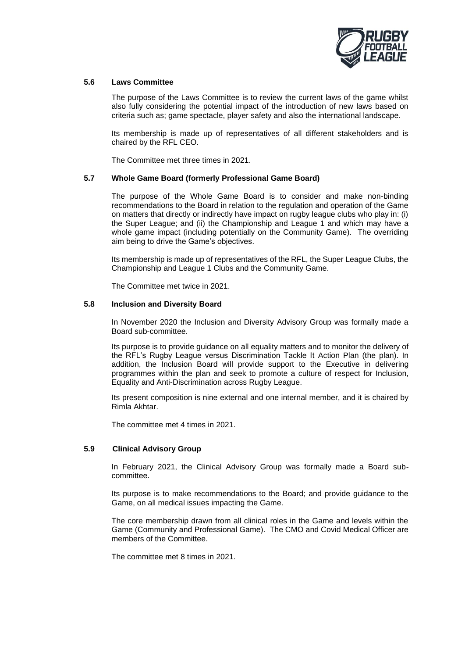

### **5.6 Laws Committee**

The purpose of the Laws Committee is to review the current laws of the game whilst also fully considering the potential impact of the introduction of new laws based on criteria such as; game spectacle, player safety and also the international landscape.

Its membership is made up of representatives of all different stakeholders and is chaired by the RFL CEO.

The Committee met three times in 2021.

### **5.7 Whole Game Board (formerly Professional Game Board)**

The purpose of the Whole Game Board is to consider and make non-binding recommendations to the Board in relation to the regulation and operation of the Game on matters that directly or indirectly have impact on rugby league clubs who play in: (i) the Super League; and (ii) the Championship and League 1 and which may have a whole game impact (including potentially on the Community Game). The overriding aim being to drive the Game's objectives.

Its membership is made up of representatives of the RFL, the Super League Clubs, the Championship and League 1 Clubs and the Community Game.

The Committee met twice in 2021.

### **5.8 Inclusion and Diversity Board**

In November 2020 the Inclusion and Diversity Advisory Group was formally made a Board sub-committee.

Its purpose is to provide guidance on all equality matters and to monitor the delivery of the RFL's Rugby League versus Discrimination Tackle It Action Plan (the plan). In addition, the Inclusion Board will provide support to the Executive in delivering programmes within the plan and seek to promote a culture of respect for Inclusion, Equality and Anti-Discrimination across Rugby League.

Its present composition is nine external and one internal member, and it is chaired by Rimla Akhtar.

The committee met 4 times in 2021.

### **5.9 Clinical Advisory Group**

In February 2021, the Clinical Advisory Group was formally made a Board subcommittee.

Its purpose is to make recommendations to the Board; and provide guidance to the Game, on all medical issues impacting the Game.

The core membership drawn from all clinical roles in the Game and levels within the Game (Community and Professional Game). The CMO and Covid Medical Officer are members of the Committee.

The committee met 8 times in 2021.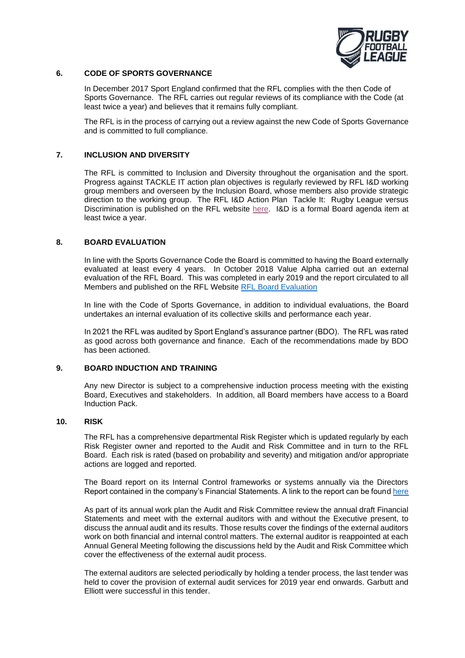

### **6. CODE OF SPORTS GOVERNANCE**

In December 2017 Sport England confirmed that the RFL complies with the then Code of Sports Governance. The RFL carries out regular reviews of its compliance with the Code (at least twice a year) and believes that it remains fully compliant.

The RFL is in the process of carrying out a review against the new Code of Sports Governance and is committed to full compliance.

### **7. INCLUSION AND DIVERSITY**

The RFL is committed to Inclusion and Diversity throughout the organisation and the sport. Progress against TACKLE IT action plan objectives is regularly reviewed by RFL I&D working group members and overseen by the Inclusion Board, whose members also provide strategic direction to the working group. The RFL I&D Action Plan Tackle It: Rugby League versus Discrimination is published on the RFL website [here.](https://www.rugby-league.com/article/57154/tackle-it---rugby-league-versus-discrimination-) I&D is a formal Board agenda item at least twice a year.

### **8. BOARD EVALUATION**

In line with the Sports Governance Code the Board is committed to having the Board externally evaluated at least every 4 years. In October 2018 Value Alpha carried out an external evaluation of the RFL Board. This was completed in early 2019 and the report circulated to all Members and published on the RFL Website [RFL Board Evaluation](http://secure.rugby-league.com/ign_docs/Independent%20External%20Board%20Evaluation.pdf) 

In line with the Code of Sports Governance, in addition to individual evaluations, the Board undertakes an internal evaluation of its collective skills and performance each year.

In 2021 the RFL was audited by Sport England's assurance partner (BDO). The RFL was rated as good across both governance and finance. Each of the recommendations made by BDO has been actioned.

### **9. BOARD INDUCTION AND TRAINING**

Any new Director is subject to a comprehensive induction process meeting with the existing Board, Executives and stakeholders. In addition, all Board members have access to a Board Induction Pack.

### **10. RISK**

The RFL has a comprehensive departmental Risk Register which is updated regularly by each Risk Register owner and reported to the Audit and Risk Committee and in turn to the RFL Board. Each risk is rated (based on probability and severity) and mitigation and/or appropriate actions are logged and reported.

The Board report on its Internal Control frameworks or systems annually via the Directors Report contained in the company's Financial Statements. A link to the report can be found [here](http://staging.rugby-league.com/uploads/docs/RFL%20Annual%20Report%202020%20FINAL%20(1).pdf)

As part of its annual work plan the Audit and Risk Committee review the annual draft Financial Statements and meet with the external auditors with and without the Executive present, to discuss the annual audit and its results. Those results cover the findings of the external auditors work on both financial and internal control matters. The external auditor is reappointed at each Annual General Meeting following the discussions held by the Audit and Risk Committee which cover the effectiveness of the external audit process.

The external auditors are selected periodically by holding a tender process, the last tender was held to cover the provision of external audit services for 2019 year end onwards. Garbutt and Elliott were successful in this tender.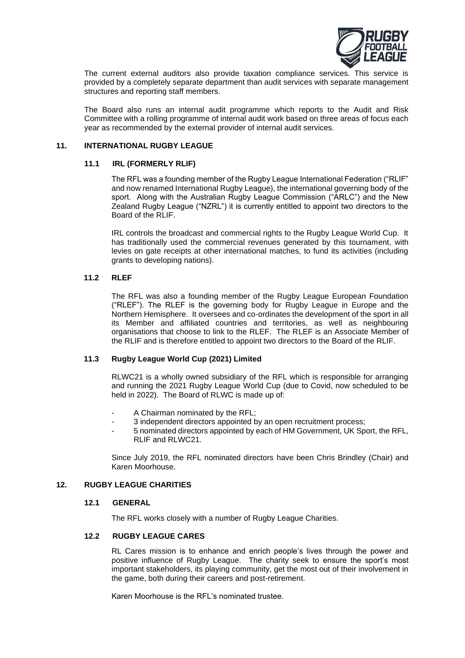

The current external auditors also provide taxation compliance services. This service is provided by a completely separate department than audit services with separate management structures and reporting staff members.

The Board also runs an internal audit programme which reports to the Audit and Risk Committee with a rolling programme of internal audit work based on three areas of focus each year as recommended by the external provider of internal audit services.

# **11. INTERNATIONAL RUGBY LEAGUE**

### **11.1 IRL (FORMERLY RLIF)**

The RFL was a founding member of the Rugby League International Federation ("RLIF" and now renamed International Rugby League), the international governing body of the sport. Along with the Australian Rugby League Commission ("ARLC") and the New Zealand Rugby League ("NZRL") it is currently entitled to appoint two directors to the Board of the RLIF.

IRL controls the broadcast and commercial rights to the Rugby League World Cup. It has traditionally used the commercial revenues generated by this tournament, with levies on gate receipts at other international matches, to fund its activities (including grants to developing nations).

### **11.2 RLEF**

The RFL was also a founding member of the Rugby League European Foundation ("RLEF"). The RLEF is the governing body for Rugby League in Europe and the Northern Hemisphere. It oversees and co-ordinates the development of the sport in all its Member and affiliated countries and territories, as well as neighbouring organisations that choose to link to the RLEF. The RLEF is an Associate Member of the RLIF and is therefore entitled to appoint two directors to the Board of the RLIF.

# **11.3 Rugby League World Cup (2021) Limited**

RLWC21 is a wholly owned subsidiary of the RFL which is responsible for arranging and running the 2021 Rugby League World Cup (due to Covid, now scheduled to be held in 2022). The Board of RLWC is made up of:

- A Chairman nominated by the RFL:
- 3 independent directors appointed by an open recruitment process;
- 5 nominated directors appointed by each of HM Government, UK Sport, the RFL, RLIF and RLWC21.

Since July 2019, the RFL nominated directors have been Chris Brindley (Chair) and Karen Moorhouse.

### **12. RUGBY LEAGUE CHARITIES**

### **12.1 GENERAL**

The RFL works closely with a number of Rugby League Charities.

### **12.2 RUGBY LEAGUE CARES**

RL Cares mission is to enhance and enrich people's lives through the power and positive influence of Rugby League. The charity seek to ensure the sport's most important stakeholders, its playing community, get the most out of their involvement in the game, both during their careers and post-retirement.

Karen Moorhouse is the RFL's nominated trustee.